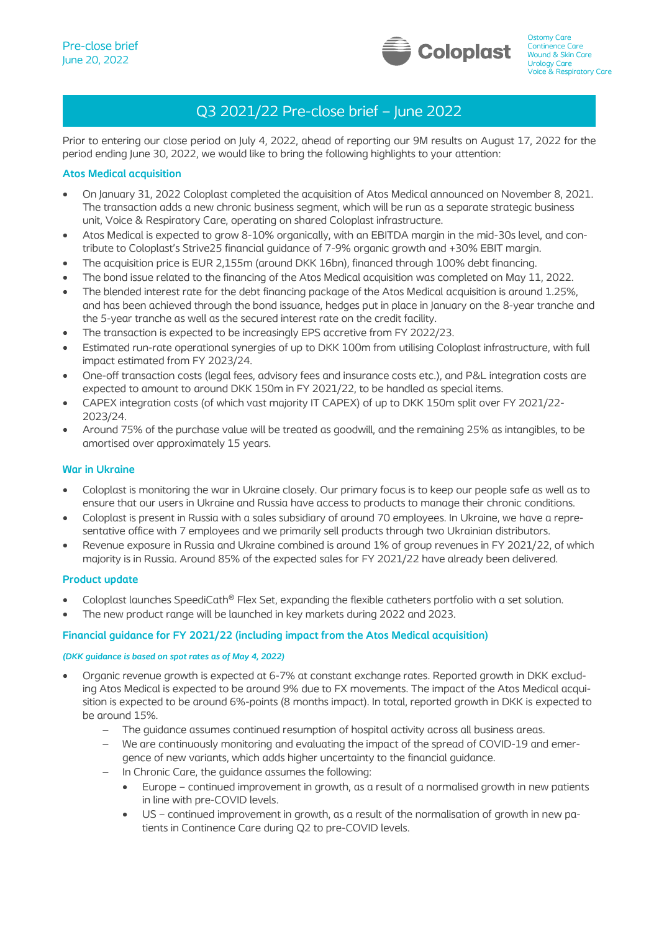l.



# Q3 2021/22 Pre-close brief – June 2022

Prior to entering our close period on July 4, 2022, ahead of reporting our 9M results on August 17, 2022 for the period ending June 30, 2022, we would like to bring the following highlights to your attention:

## **Atos Medical acquisition**

- On January 31, 2022 Coloplast completed the acquisition of Atos Medical announced on November 8, 2021. The transaction adds a new chronic business segment, which will be run as a separate strategic business unit, Voice & Respiratory Care, operating on shared Coloplast infrastructure.
- Atos Medical is expected to grow 8-10% organically, with an EBITDA margin in the mid-30s level, and contribute to Coloplast's Strive25 financial guidance of 7-9% organic growth and +30% EBIT margin.
- The acquisition price is EUR 2.155m (around DKK 16bn), financed through 100% debt financing.
- The bond issue related to the financing of the Atos Medical acquisition was completed on May 11, 2022.
- The blended interest rate for the debt financing package of the Atos Medical acquisition is around 1.25%, and has been achieved through the bond issuance, hedges put in place in January on the 8-year tranche and the 5-year tranche as well as the secured interest rate on the credit facility.
- The transaction is expected to be increasingly EPS accretive from FY 2022/23.
- Estimated run-rate operational synergies of up to DKK 100m from utilising Coloplast infrastructure, with full impact estimated from FY 2023/24.
- One-off transaction costs (legal fees, advisory fees and insurance costs etc.), and P&L integration costs are expected to amount to around DKK 150m in FY 2021/22, to be handled as special items.
- CAPEX integration costs (of which vast majority IT CAPEX) of up to DKK 150m split over FY 2021/22- 2023/24.
- Around 75% of the purchase value will be treated as goodwill, and the remaining 25% as intangibles, to be amortised over approximately 15 years.

## **War in Ukraine**

- Coloplast is monitoring the war in Ukraine closely. Our primary focus is to keep our people safe as well as to ensure that our users in Ukraine and Russia have access to products to manage their chronic conditions.
- Coloplast is present in Russia with a sales subsidiary of around 70 employees. In Ukraine, we have a representative office with 7 employees and we primarily sell products through two Ukrainian distributors.
- Revenue exposure in Russia and Ukraine combined is around 1% of group revenues in FY 2021/22, of which majority is in Russia. Around 85% of the expected sales for FY 2021/22 have already been delivered.

### **Product update**

- Coloplast launches SpeediCath® Flex Set, expanding the flexible catheters portfolio with a set solution.
- The new product range will be launched in key markets during 2022 and 2023.

# **Financial guidance for FY 2021/22 (including impact from the Atos Medical acquisition)**

### *(DKK guidance is based on spot rates as of May 4, 2022)*

- Organic revenue growth is expected at 6-7% at constant exchange rates. Reported growth in DKK excluding Atos Medical is expected to be around 9% due to FX movements. The impact of the Atos Medical acquisition is expected to be around 6%-points (8 months impact). In total, reported growth in DKK is expected to be around 15%.
	- The guidance assumes continued resumption of hospital activity across all business areas.
	- − We are continuously monitoring and evaluating the impact of the spread of COVID-19 and emergence of new variants, which adds higher uncertainty to the financial guidance.
	- In Chronic Care, the guidance assumes the following:
		- Europe continued improvement in growth, as a result of a normalised growth in new patients in line with pre-COVID levels.
		- US continued improvement in growth, as a result of the normalisation of growth in new patients in Continence Care during Q2 to pre-COVID levels.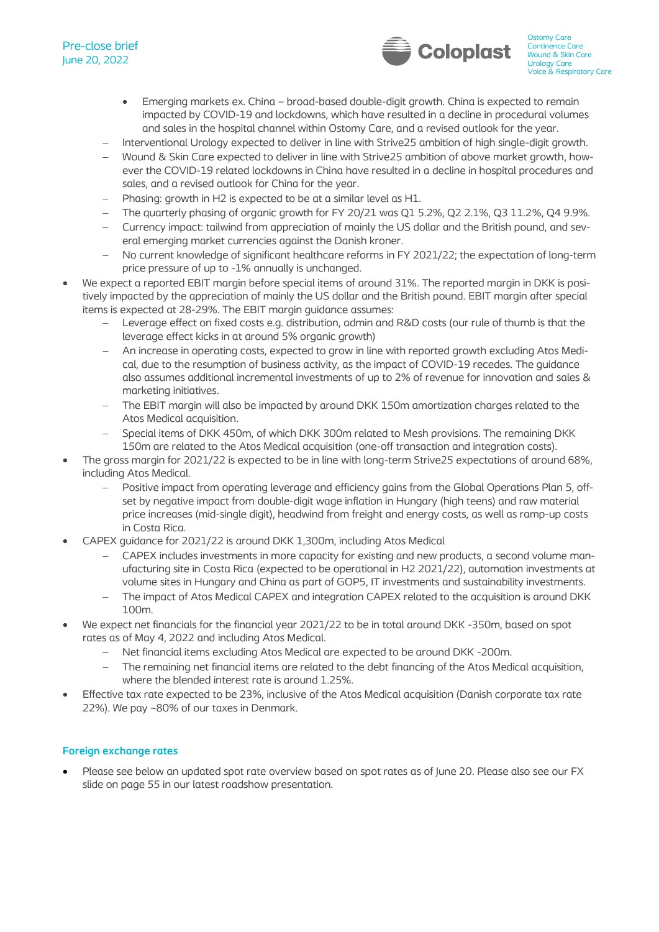# Pre-close brief June 20, 2022



- Emerging markets ex. China broad-based double-digit growth. China is expected to remain impacted by COVID-19 and lockdowns, which have resulted in a decline in procedural volumes and sales in the hospital channel within Ostomy Care, and a revised outlook for the year.
- − Interventional Urology expected to deliver in line with Strive25 ambition of high single-digit growth.
- − Wound & Skin Care expected to deliver in line with Strive25 ambition of above market growth, however the COVID-19 related lockdowns in China have resulted in a decline in hospital procedures and sales, and a revised outlook for China for the year.
- − Phasing: growth in H2 is expected to be at a similar level as H1.
- − The quarterly phasing of organic growth for FY 20/21 was Q1 5.2%, Q2 2.1%, Q3 11.2%, Q4 9.9%.
- − Currency impact: tailwind from appreciation of mainly the US dollar and the British pound, and several emerging market currencies against the Danish kroner.
- − No current knowledge of significant healthcare reforms in FY 2021/22; the expectation of long-term price pressure of up to -1% annually is unchanged.
- We expect a reported EBIT margin before special items of around 31%. The reported margin in DKK is positively impacted by the appreciation of mainly the US dollar and the British pound. EBIT margin after special items is expected at 28-29%. The EBIT margin guidance assumes:
	- − Leverage effect on fixed costs e.g. distribution, admin and R&D costs (our rule of thumb is that the leverage effect kicks in at around 5% organic growth)
	- − An increase in operating costs, expected to grow in line with reported growth excluding Atos Medical, due to the resumption of business activity, as the impact of COVID-19 recedes. The guidance also assumes additional incremental investments of up to 2% of revenue for innovation and sales & marketing initiatives.
	- The EBIT margin will also be impacted by around DKK 150m amortization charges related to the Atos Medical acquisition.
	- − Special items of DKK 450m, of which DKK 300m related to Mesh provisions. The remaining DKK 150m are related to the Atos Medical acquisition (one-off transaction and integration costs).
- The gross margin for 2021/22 is expected to be in line with long-term Strive25 expectations of around 68%, including Atos Medical.
	- − Positive impact from operating leverage and efficiency gains from the Global Operations Plan 5, offset by negative impact from double-digit wage inflation in Hungary (high teens) and raw material price increases (mid-single digit), headwind from freight and energy costs, as well as ramp-up costs in Costa Rica.
- CAPEX guidance for 2021/22 is around DKK 1,300m, including Atos Medical
	- − CAPEX includes investments in more capacity for existing and new products, a second volume manufacturing site in Costa Rica (expected to be operational in H2 2021/22), automation investments at volume sites in Hungary and China as part of GOP5, IT investments and sustainability investments.
	- − The impact of Atos Medical CAPEX and integration CAPEX related to the acquisition is around DKK 100m.
- We expect net financials for the financial year 2021/22 to be in total around DKK -350m, based on spot rates as of May 4, 2022 and including Atos Medical.
	- − Net financial items excluding Atos Medical are expected to be around DKK -200m.
	- The remaining net financial items are related to the debt financing of the Atos Medical acquisition, where the blended interest rate is around 1.25%.
- Effective tax rate expected to be 23%, inclusive of the Atos Medical acquisition (Danish corporate tax rate 22%). We pay ~80% of our taxes in Denmark.

# **Foreign exchange rates**

• Please see below an updated spot rate overview based on spot rates as of June 20. Please also see our FX slide on page 55 in our latest roadshow presentation.